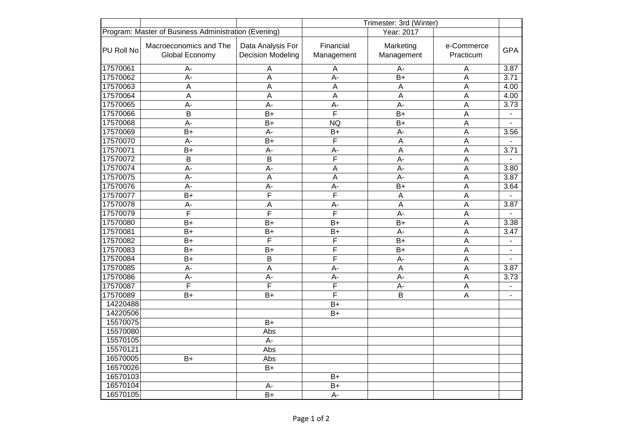|            |                                                      |                                               | Trimester: 3rd (Winter) |                         |                         |                |
|------------|------------------------------------------------------|-----------------------------------------------|-------------------------|-------------------------|-------------------------|----------------|
|            | Program: Master of Business Administration (Evening) |                                               | Year: 2017              |                         |                         |                |
| PU Roll No | Macroeconomics and The<br>Global Economy             | Data Analysis For<br><b>Decision Modeling</b> | Financial<br>Management | Marketing<br>Management | e-Commerce<br>Practicum | <b>GPA</b>     |
| 17570061   | A-                                                   | $\mathsf A$                                   | A                       | A-                      | $\overline{A}$          | 3.87           |
| 17570062   | $\overline{A}$ -                                     | $\overline{A}$                                | A-                      | $B+$                    | $\overline{A}$          | 3.71           |
| 17570063   | $\overline{A}$                                       | A                                             | A                       | A                       | $\overline{A}$          | 4.00           |
| 17570064   | $\overline{A}$                                       | $\overline{A}$                                | $\overline{A}$          | $\overline{A}$          | $\overline{A}$          | 4.00           |
| 17570065   | A-                                                   | A-                                            | $\overline{A}$ -        | $A -$                   | $\overline{A}$          | 3.73           |
| 17570066   | $\overline{\mathsf{B}}$                              | $\overline{B+}$                               | $\overline{\mathsf{F}}$ | $\overline{B+}$         | $\overline{A}$          |                |
| 17570068   | $A -$                                                | $B+$                                          | <b>NQ</b>               | $B+$                    | $\overline{A}$          | $\blacksquare$ |
| 17570069   | $B+$                                                 | A-                                            | $B+$                    | A-                      | A                       | 3.56           |
| 17570070   | $A -$                                                | $\overline{B+}$                               | $\overline{\mathsf{F}}$ | $\overline{A}$          | $\overline{A}$          | $\mathbf{r}$   |
| 17570071   | $B+$                                                 | A-                                            | $A -$                   | $\overline{A}$          | A                       | 3.71           |
| 17570072   | $\overline{B}$                                       | B                                             | F                       | $A -$                   | A                       | $\sim$         |
| 17570074   | A-                                                   | А-                                            | A                       | A-                      | $\overline{A}$          | 3.80           |
| 17570075   | A-                                                   | $\overline{A}$                                | A                       | A-                      | $\overline{A}$          | 3.87           |
| 17570076   | A-                                                   | A-                                            | A-                      | $B+$                    | $\overline{A}$          | 3.64           |
| 17570077   | $\overline{B+}$                                      | F                                             | $\overline{\mathsf{F}}$ | $\overline{A}$          | $\overline{A}$          |                |
| 17570078   | A-                                                   | $\mathsf A$                                   | A-                      | $\overline{A}$          | $\overline{A}$          | 3.87           |
| 17570079   | F                                                    | F                                             | F                       | A-                      | $\overline{A}$          |                |
| 17570080   | $\overline{B+}$                                      | $\overline{B+}$                               | $B+$                    | $B+$                    | $\overline{A}$          | 3.38           |
| 17570081   | $B+$                                                 | $\overline{B+}$                               | $B+$                    | A-                      | $\overline{A}$          | 3.47           |
| 17570082   | $B+$                                                 | F                                             | F                       | $B+$                    | $\overline{A}$          | $\mathbf{u}$   |
| 17570083   | $B+$                                                 | $B+$                                          | $\overline{\mathsf{F}}$ | $B+$                    | $\overline{A}$          | $\blacksquare$ |
| 17570084   | $B+$                                                 | B                                             | $\overline{F}$          | $A -$                   | $\overline{A}$          | $\sim$         |
| 17570085   | A-                                                   | $\overline{A}$                                | A-                      | $\overline{A}$          | $\overline{A}$          | 3.87           |
| 17570086   | $A -$                                                | $A -$                                         | $A -$                   | $A -$                   | $\overline{A}$          | 3.73           |
| 17570087   | $\overline{F}$                                       | F                                             | F                       | $A -$                   | $\overline{A}$          | $\blacksquare$ |
| 17570089   | $B+$                                                 | $B+$                                          | F                       | B                       | $\overline{A}$          | $\blacksquare$ |
| 14220488   |                                                      |                                               | $B+$                    |                         |                         |                |
| 14220506   |                                                      |                                               | $B+$                    |                         |                         |                |
| 15570075   |                                                      | $B+$                                          |                         |                         |                         |                |
| 15570080   |                                                      | Abs                                           |                         |                         |                         |                |
| 15570105   |                                                      | $A -$                                         |                         |                         |                         |                |
| 15570121   |                                                      | Abs                                           |                         |                         |                         |                |
| 16570005   | $B+$                                                 | Abs                                           |                         |                         |                         |                |
| 16570026   |                                                      | $B+$                                          |                         |                         |                         |                |
| 16570103   |                                                      |                                               | $B+$                    |                         |                         |                |
| 16570104   |                                                      | A-                                            | $B+$                    |                         |                         |                |
| 16570105   |                                                      | $B+$                                          | A-                      |                         |                         |                |